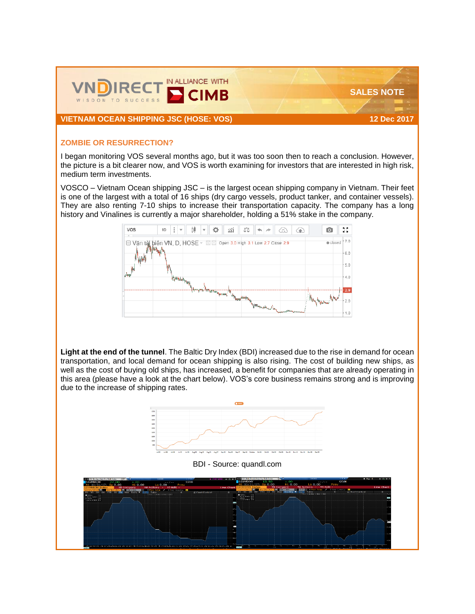

**VIETNAM OCEAN SHIPPING JSC (HOSE: VOS) 12 Dec 2017**

 **SALES NOTE**

## **ZOMBIE OR RESURRECTION?**

I began monitoring VOS several months ago, but it was too soon then to reach a conclusion. However, the picture is a bit clearer now, and VOS is worth examining for investors that are interested in high risk, medium term investments.

VOSCO – Vietnam Ocean shipping JSC – is the largest ocean shipping company in Vietnam. Their feet is one of the largest with a total of 16 ships (dry cargo vessels, product tanker, and container vessels). They are also renting 7-10 ships to increase their transportation capacity. The company has a long history and Vinalines is currently a major shareholder, holding a 51% stake in the company.



**Light at the end of the tunnel**. The [Baltic Dry Index](https://www.google.com.vn/url?sa=t&rct=j&q=&esrc=s&source=web&cd=1&ved=0ahUKEwjQn_yssYPYAhWLlJQKHadLDDgQFgglMAA&url=https%3A%2F%2Fwww.bloomberg.com%2Fquote%2FBDIY%3AIND&usg=AOvVaw1zQHa3K0uu_fSBOb1YZJl4) (BDI) increased due to the rise in demand for ocean transportation, and local demand for ocean shipping is also rising. The cost of building new ships, as well as the cost of buying old ships, has increased, a benefit for companies that are already operating in this area (please have a look at the chart below). VOS's core business remains strong and is improving due to the increase of shipping rates.



BDI - Source: quandl.com

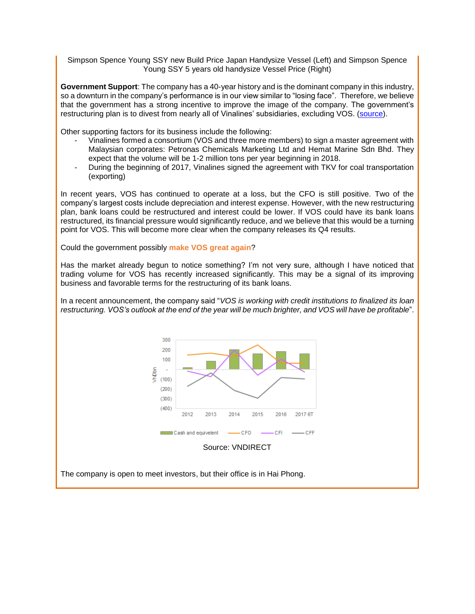Simpson Spence Young SSY new Build Price Japan Handysize Vessel (Left) and Simpson Spence Young SSY 5 years old handysize Vessel Price (Right)

**Government Support**: The company has a 40-year history and is the dominant company in this industry, so a downturn in the company's performance is in our view similar to "losing face". Therefore, we believe that the government has a strong incentive to improve the image of the company. The government's restructuring plan is to divest from nearly all of Vinalines' subsidiaries, excluding VOS. [\(source\)](https://thuvienphapluat.vn/van-ban/Doanh-nghiep/Quyet-dinh-276-QD-TTg-nam-2013-phe-duyet-De-an-Tai-co-cau-Tong-cong-ty-Hang-hai-170476.aspx).

Other supporting factors for its business include the following:

- Vinalines formed a consortium (VOS and three more members) to sign a master agreement with Malaysian corporates: Petronas Chemicals Marketing Ltd and Hemat Marine Sdn Bhd. They expect that the volume will be 1-2 million tons per year beginning in 2018.
- During the beginning of 2017, Vinalines signed the agreement with TKV for coal transportation (exporting)

In recent years, VOS has continued to operate at a loss, but the CFO is still positive. Two of the company's largest costs include depreciation and interest expense. However, with the new restructuring plan, bank loans could be restructured and interest could be lower. If VOS could have its bank loans restructured, its financial pressure would significantly reduce, and we believe that this would be a turning point for VOS. This will become more clear when the company releases its Q4 results.

Could the government possibly **make VOS great again**?

Has the market already begun to notice something? I'm not very sure, although I have noticed that trading volume for VOS has recently increased significantly. This may be a signal of its improving business and favorable terms for the restructuring of its bank loans.

In a recent announcement, the company said "*VOS is working with credit institutions to finalized its loan restructuring. VOS's outlook at the end of the year will be much brighter, and VOS will have be profitable*".



The company is open to meet investors, but their office is in Hai Phong.